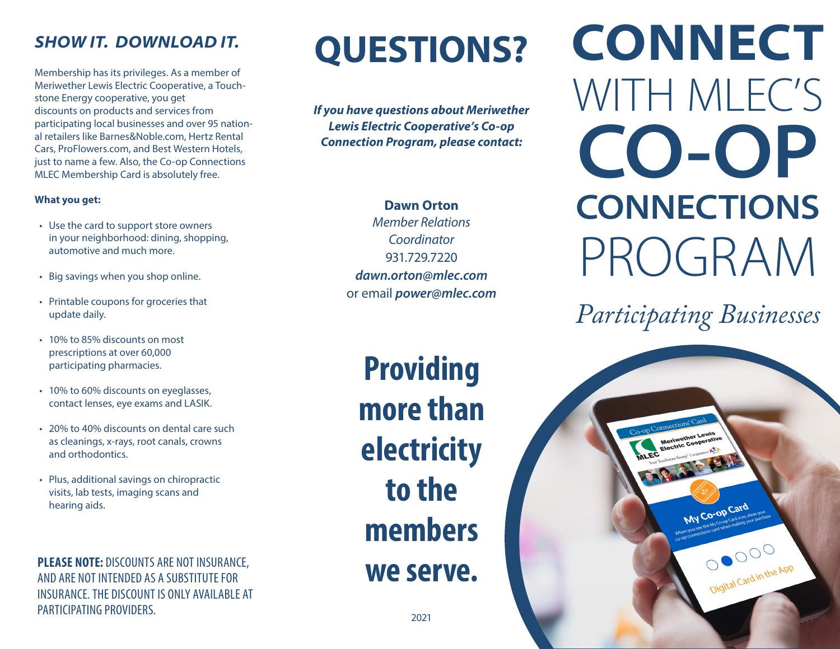Membership has its privileges. As a member of Meriwether Lewis Electric Cooperative, a Touchstone Energy cooperative, you get discounts on products and services from participating local businesses and over 95 national retailers like Barnes&Noble.com, Hertz Rental Cars, ProFlowers.com, and Best Western Hotels, just to name a few. Also, the Co-op Connections MLEC Membership Card is absolutely free.

### **What you get:**

- Use the card to support store owners in your neighborhood: dining, shopping, automotive and much more.
- Big savings when you shop online.
- Printable coupons for groceries that update daily.
- 10% to 85% discounts on most prescriptions at over 60,000 participating pharmacies.
- 10% to 60% discounts on eyeglasses, contact lenses, eye exams and LASIK.
- 20% to 40% discounts on dental care such as cleanings, x-rays, root canals, crowns and orthodontics.
- Plus, additional savings on chiropractic visits, lab tests, imaging scans and hearing aids.

**PLEASE NOTE:** DISCOUNTS ARE NOT INSURANCE, AND ARE NOT INTENDED AS A SUBSTITUTE FOR INSURANCE. THE DISCOUNT IS ONLY AVAILABLE AT PARTICIPATING PROVIDERS.

# **SHOW IT. DOWNLOAD IT.** QUESTIONS?

*If you have questions about Meriwether Lewis Electric Cooperative's Co-op Connection Program, please contact:*

> **Dawn Orton** *Member Relations Coordinator* 931.729.7220 *dawn.orton@mlec.com* or email *power@mlec.com*

**Providing more than electricity to the members we serve.**

**CONNECT**  WITH MLEC'S **CO-OP CONNECTIONS** PROGRAM

*Participating Businesses*